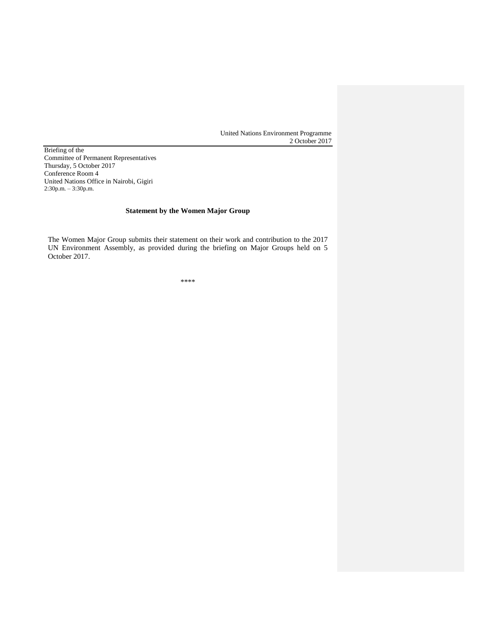United Nations Environment Programme 2 October 2017

Briefing of the Committee of Permanent Representatives Thursday, 5 October 2017 Conference Room 4 United Nations Office in Nairobi, Gigiri 2:30p.m. – 3:30p.m.

## **Statement by the Women Major Group**

The Women Major Group submits their statement on their work and contribution to the 2017 UN Environment Assembly, as provided during the briefing on Major Groups held on 5 October 2017.

\*\*\*\*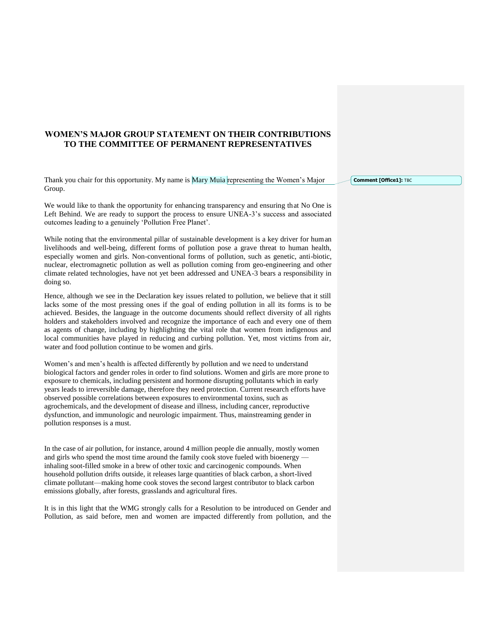## **WOMEN'S MAJOR GROUP STATEMENT ON THEIR CONTRIBUTIONS TO THE COMMITTEE OF PERMANENT REPRESENTATIVES**

Thank you chair for this opportunity. My name is Mary Muia representing the Women's Major Group.

We would like to thank the opportunity for enhancing transparency and ensuring that No One is Left Behind. We are ready to support the process to ensure UNEA-3's success and associated outcomes leading to a genuinely 'Pollution Free Planet'.

While noting that the environmental pillar of sustainable development is a key driver for human livelihoods and well-being, different forms of pollution pose a grave threat to human health, especially women and girls. Non-conventional forms of pollution, such as genetic, anti-biotic, nuclear, electromagnetic pollution as well as pollution coming from geo-engineering and other climate related technologies, have not yet been addressed and UNEA-3 bears a responsibility in doing so.

Hence, although we see in the Declaration key issues related to pollution, we believe that it still lacks some of the most pressing ones if the goal of ending pollution in all its forms is to be achieved. Besides, the language in the outcome documents should reflect diversity of all rights holders and stakeholders involved and recognize the importance of each and every one of them as agents of change, including by highlighting the vital role that women from indigenous and local communities have played in reducing and curbing pollution. Yet, most victims from air, water and food pollution continue to be women and girls.

Women's and men's health is affected differently by pollution and we need to understand biological factors and gender roles in order to find solutions. Women and girls are more prone to exposure to chemicals, including persistent and hormone disrupting pollutants which in early years leads to irreversible damage, therefore they need protection. Current research efforts have observed possible correlations between exposures to environmental toxins, such as agrochemicals, and the development of disease and illness, including cancer, reproductive dysfunction, and immunologic and neurologic impairment. Thus, mainstreaming gender in pollution responses is a must.

In the case of air pollution, for instance, around 4 million people die annually, mostly women and girls who spend the most time around the family cook stove fueled with bioenergy inhaling soot-filled smoke in a brew of other toxic and carcinogenic compounds. When household pollution drifts outside, it releases large quantities of black carbon, a short-lived climate pollutant—making home cook stoves the second largest contributor to black carbon emissions globally, after forests, grasslands and agricultural fires.

It is in this light that the WMG strongly calls for a Resolution to be introduced on Gender and Pollution, as said before, men and women are impacted differently from pollution, and the **Comment [Office1]: TBC**